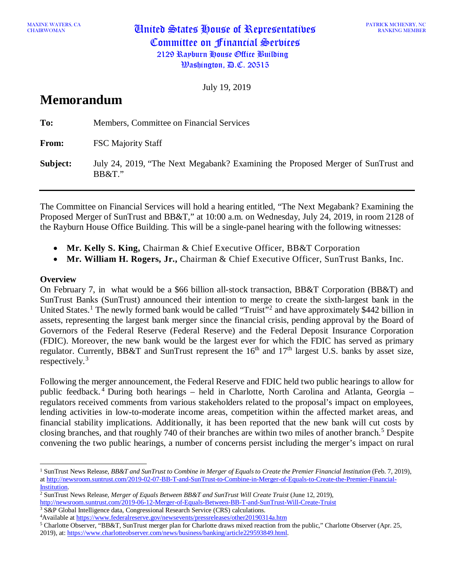MAXINE WATERS, CANNONAIR CHAIRWOMAN United States House of Representatives Committee on Financial Services 2129 Rayburn House Office Building  $\mathfrak{B}$ ashington,  $\mathfrak{B}$ .C. 20515

PATRICK MCHENRY, NC RANKING MEMBER

July 19, 2019

# **Memorandum**

| To:      | Members, Committee on Financial Services                                                      |
|----------|-----------------------------------------------------------------------------------------------|
| From:    | <b>FSC Majority Staff</b>                                                                     |
| Subject: | July 24, 2019, "The Next Megabank? Examining the Proposed Merger of SunTrust and<br>$BB&T$ ." |

The Committee on Financial Services will hold a hearing entitled, "The Next Megabank? Examining the Proposed Merger of SunTrust and BB&T," at 10:00 a.m. on Wednesday, July 24, 2019, in room 2128 of the Rayburn House Office Building. This will be a single-panel hearing with the following witnesses:

- **Mr. Kelly S. King,** Chairman & Chief Executive Officer, BB&T Corporation
- **Mr. William H. Rogers, Jr.,** Chairman & Chief Executive Officer, SunTrust Banks, Inc.

## **Overview**

On February 7, in what would be a \$66 billion all-stock transaction, BB&T Corporation (BB&T) and SunTrust Banks (SunTrust) announced their intention to merge to create the sixth-largest bank in the United States.<sup>[1](#page-0-0)</sup> The newly formed bank would be called "Truist"<sup>[2](#page-0-1)</sup> and have approximately \$442 billion in assets, representing the largest bank merger since the financial crisis, pending approval by the Board of Governors of the Federal Reserve (Federal Reserve) and the Federal Deposit Insurance Corporation (FDIC). Moreover, the new bank would be the largest ever for which the FDIC has served as primary regulator. Currently, BB&T and SunTrust represent the  $16<sup>th</sup>$  and  $17<sup>th</sup>$  largest U.S. banks by asset size, respectively.<sup>[3](#page-0-2)</sup>

Following the merger announcement, the Federal Reserve and FDIC held two public hearings to allow for public feedback. [4](#page-0-3) During both hearings – held in Charlotte, North Carolina and Atlanta, Georgia – regulators received comments from various stakeholders related to the proposal's impact on employees, lending activities in low-to-moderate income areas, competition within the affected market areas, and financial stability implications. Additionally, it has been reported that the new bank will cut costs by closing branches, and that roughly 740 of their branches are within two miles of another branch. [5](#page-0-4) Despite convening the two public hearings, a number of concerns persist including the merger's impact on rural

<span id="page-0-0"></span><sup>1</sup> SunTrust News Release, *BB&T and SunTrust to Combine in Merger of Equals to Create the Premier Financial Institution* (Feb. 7, 2019), a[t http://newsroom.suntrust.com/2019-02-07-BB-T-and-SunTrust-to-Combine-in-Merger-of-Equals-to-Create-the-Premier-Financial-](http://newsroom.suntrust.com/2019-02-07-BB-T-and-SunTrust-to-Combine-in-Merger-of-Equals-to-Create-the-Premier-Financial-Institution)

<span id="page-0-1"></span>[Institution.](http://newsroom.suntrust.com/2019-02-07-BB-T-and-SunTrust-to-Combine-in-Merger-of-Equals-to-Create-the-Premier-Financial-Institution) 2 SunTrust News Release, *Merger of Equals Between BB&T and SunTrust Will Create Truist* (June 12, 2019),

<span id="page-0-2"></span><http://newsroom.suntrust.com/2019-06-12-Merger-of-Equals-Between-BB-T-and-SunTrust-Will-Create-Truist>

<sup>3</sup> S&P Global Intelligence data, Congressional Research Service (CRS) calculations.

<span id="page-0-3"></span><sup>&</sup>lt;sup>4</sup> Available at <https://www.federalreserve.gov/newsevents/pressreleases/other20190314a.htm>

<span id="page-0-4"></span><sup>5</sup> Charlotte Observer, "BB&T, SunTrust merger plan for Charlotte draws mixed reaction from the public," Charlotte Observer (Apr. 25, 2019), at: https://www.charlotteobserver.com/news/business/banking/article229593849.html.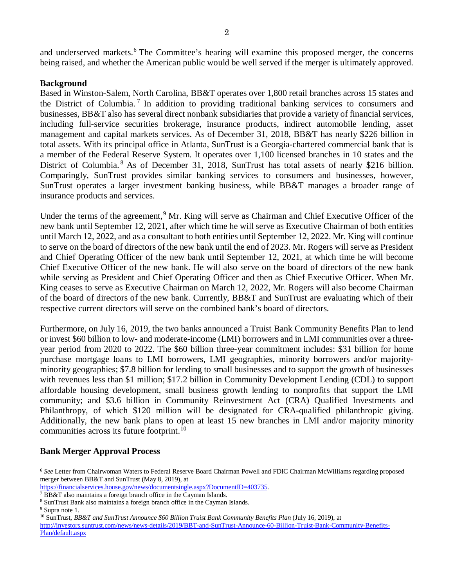and underserved markets.<sup>[6](#page-1-0)</sup> The Committee's hearing will examine this proposed merger, the concerns being raised, and whether the American public would be well served if the merger is ultimately approved.

## **Background**

Based in Winston-Salem, North Carolina, BB&T operates over 1,800 retail branches across 15 states and the District of Columbia. [7](#page-1-1) In addition to providing traditional banking services to consumers and businesses, BB&T also has several direct nonbank subsidiaries that provide a variety of financial services, including full-service securities brokerage, insurance products, indirect automobile lending, asset management and capital markets services. As of December 31, 2018, BB&T has nearly \$226 billion in total assets. With its principal office in Atlanta, SunTrust is a Georgia-chartered commercial bank that is a member of the Federal Reserve System. It operates over 1,100 licensed branches in 10 states and the District of Columbia.<sup>[8](#page-1-2)</sup> As of December 31, 2018, SunTrust has total assets of nearly \$216 billion. Comparingly, SunTrust provides similar banking services to consumers and businesses, however, SunTrust operates a larger investment banking business, while BB&T manages a broader range of insurance products and services.

Under the terms of the agreement,<sup>[9](#page-1-3)</sup> Mr. King will serve as Chairman and Chief Executive Officer of the new bank until September 12, 2021, after which time he will serve as Executive Chairman of both entities until March 12, 2022, and as a consultant to both entities until September 12, 2022. Mr. King will continue to serve on the board of directors of the new bank until the end of 2023. Mr. Rogers will serve as President and Chief Operating Officer of the new bank until September 12, 2021, at which time he will become Chief Executive Officer of the new bank. He will also serve on the board of directors of the new bank while serving as President and Chief Operating Officer and then as Chief Executive Officer. When Mr. King ceases to serve as Executive Chairman on March 12, 2022, Mr. Rogers will also become Chairman of the board of directors of the new bank. Currently, BB&T and SunTrust are evaluating which of their respective current directors will serve on the combined bank's board of directors.

Furthermore, on July 16, 2019, the two banks announced a Truist Bank Community Benefits Plan to lend or invest \$60 billion to low- and moderate-income (LMI) borrowers and in LMI communities over a threeyear period from 2020 to 2022. The \$60 billion three-year commitment includes: \$31 billion for home purchase mortgage loans to LMI borrowers, LMI geographies, minority borrowers and/or majorityminority geographies; \$7.8 billion for lending to small businesses and to support the growth of businesses with revenues less than \$1 million; \$17.2 billion in Community Development Lending (CDL) to support affordable housing development, small business growth lending to nonprofits that support the LMI community; and \$3.6 billion in Community Reinvestment Act (CRA) Qualified Investments and Philanthropy, of which \$120 million will be designated for CRA-qualified philanthropic giving. Additionally, the new bank plans to open at least 15 new branches in LMI and/or majority minority communities across its future footprint.<sup>[10](#page-1-4)</sup>

## **Bank Merger Approval Process**

<span id="page-1-0"></span><sup>6</sup> *See* Letter from Chairwoman Waters to Federal Reserve Board Chairman Powell and FDIC Chairman McWilliams regarding proposed merger between BB&T and SunTrust (May 8, 2019), at

[https://financialservices.house.gov/news/documentsingle.aspx?DocumentID=403735.](https://financialservices.house.gov/news/documentsingle.aspx?DocumentID=403735)

<span id="page-1-1"></span><sup>7</sup> BB&T also maintains a foreign branch office in the Cayman Islands.

<span id="page-1-2"></span><sup>8</sup> SunTrust Bank also maintains a foreign branch office in the Cayman Islands.

<span id="page-1-3"></span><sup>9</sup> Supra note 1.

<span id="page-1-4"></span><sup>10</sup> SunTrust, *BB&T and SunTrust Announce \$60 Billion Truist Bank Community Benefits Plan* (July 16, 2019), at

[http://investors.suntrust.com/news/news-details/2019/BBT-and-SunTrust-Announce-60-Billion-Truist-Bank-Community-Benefits-](http://investors.suntrust.com/news/news-details/2019/BBT-and-SunTrust-Announce-60-Billion-Truist-Bank-Community-Benefits-Plan/default.aspx)[Plan/default.aspx](http://investors.suntrust.com/news/news-details/2019/BBT-and-SunTrust-Announce-60-Billion-Truist-Bank-Community-Benefits-Plan/default.aspx)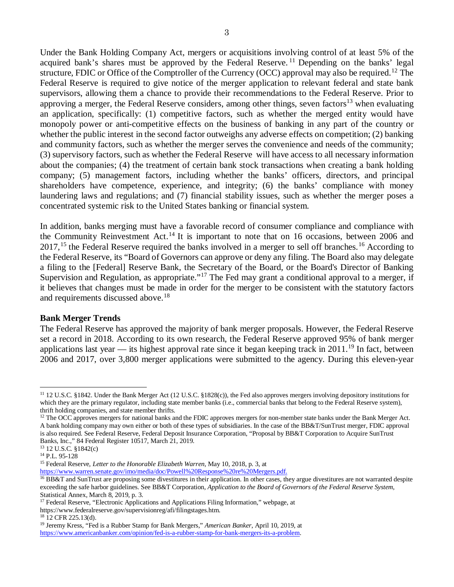Under the Bank Holding Company Act, mergers or acquisitions involving control of at least 5% of the acquired bank's shares must be approved by the Federal Reserve.<sup>[11](#page-2-0)</sup> Depending on the banks' legal structure, FDIC or Office of the Comptroller of the Currency (OCC) approval may also be required.<sup>[12](#page-2-1)</sup> The Federal Reserve is required to give notice of the merger application to relevant federal and state bank supervisors, allowing them a chance to provide their recommendations to the Federal Reserve. Prior to approving a merger, the Federal Reserve considers, among other things, seven factors<sup>[13](#page-2-2)</sup> when evaluating an application, specifically: (1) competitive factors, such as whether the merged entity would have monopoly power or anti-competitive effects on the business of banking in any part of the country or whether the public interest in the second factor outweighs any adverse effects on competition; (2) banking and community factors, such as whether the merger serves the convenience and needs of the community; (3) supervisory factors, such as whether the Federal Reserve will have access to all necessary information about the companies; (4) the treatment of certain bank stock transactions when creating a bank holding company; (5) management factors, including whether the banks' officers, directors, and principal shareholders have competence, experience, and integrity; (6) the banks' compliance with money laundering laws and regulations; and (7) financial stability issues, such as whether the merger poses a concentrated systemic risk to the United States banking or financial system.

In addition, banks merging must have a favorable record of consumer compliance and compliance with the Community Reinvestment Act.<sup>[14](#page-2-3)</sup> It is important to note that on 16 occasions, between 2006 and 2017,<sup>[15](#page-2-4)</sup> the Federal Reserve required the banks involved in a merger to sell off branches.<sup>[16](#page-2-5)</sup> According to the Federal Reserve, its "Board of Governors can approve or deny any filing. The Board also may delegate a filing to the [Federal] Reserve Bank, the Secretary of the Board, or the Board's Director of Banking Supervision and Regulation, as appropriate."<sup>[17](#page-2-6)</sup> The Fed may grant a conditional approval to a merger, if it believes that changes must be made in order for the merger to be consistent with the statutory factors and requirements discussed above.<sup>[18](#page-2-7)</sup>

## **Bank Merger Trends**

The Federal Reserve has approved the majority of bank merger proposals. However, the Federal Reserve set a record in 2018. According to its own research, the Federal Reserve approved 95% of bank merger applications last year — its highest approval rate since it began keeping track in 2011.<sup>[19](#page-2-8)</sup> In fact, between 2006 and 2017, over 3,800 merger applications were submitted to the agency. During this eleven-year

<span id="page-2-0"></span><sup>11</sup> 12 U.S.C. §1842. Under the Bank Merger Act (12 U.S.C. §1828(c)), the Fed also approves mergers involving depository institutions for which they are the primary regulator, including state member banks (i.e., commercial banks that belong to the Federal Reserve system), thrift holding companies, and state member thrifts.

<span id="page-2-1"></span><sup>&</sup>lt;sup>12</sup> The OCC approves mergers for national banks and the FDIC approves mergers for non-member state banks under the Bank Merger Act. A bank holding company may own either or both of these types of subsidiaries. In the case of the BB&T/SunTrust merger, FDIC approval is also required. See Federal Reserve, Federal Deposit Insurance Corporation, "Proposal by BB&T Corporation to Acquire SunTrust Banks, Inc.," 84 Federal Register 10517, March 21, 2019.

<span id="page-2-2"></span><sup>13</sup> 12 U.S.C. §1842(c)

<span id="page-2-3"></span><sup>14</sup> P.L. 95-128

<span id="page-2-4"></span><sup>15</sup> Federal Reserve, *Letter to the Honorable Elizabeth Warren*, May 10, 2018, p. 3, at <https://www.warren.senate.gov/imo/media/doc/Powell%20Response%20re%20Mergers.pdf.>

<span id="page-2-5"></span><sup>&</sup>lt;sup>16</sup> BB&T and SunTrust are proposing some divestitures in their application. In other cases, they argue divestitures are not warranted despite exceeding the safe harbor guidelines. See BB&T Corporation, *Application to the Board of Governors of the Federal Reserve System*, Statistical Annex, March 8, 2019, p. 3.

<span id="page-2-6"></span><sup>&</sup>lt;sup>17</sup> Federal Reserve, "Electronic Applications and Applications Filing Information," webpage, at [https://www.federalreserve.gov/supervisionreg/afi/filingstages.htm.](https://www.federalreserve.gov/supervisionreg/afi/filingstages.htm)

<span id="page-2-7"></span> $18$  12 CFR 225.13(d).

<span id="page-2-8"></span><sup>19</sup> Jeremy Kress, "Fed is a Rubber Stamp for Bank Mergers," *American Banker*, April 10, 2019, at [https://www.americanbanker.com/opinion/fed-is-a-rubber-stamp-for-bank-mergers-its-a-problem.](https://www.americanbanker.com/opinion/fed-is-a-rubber-stamp-for-bank-mergers-its-a-problem)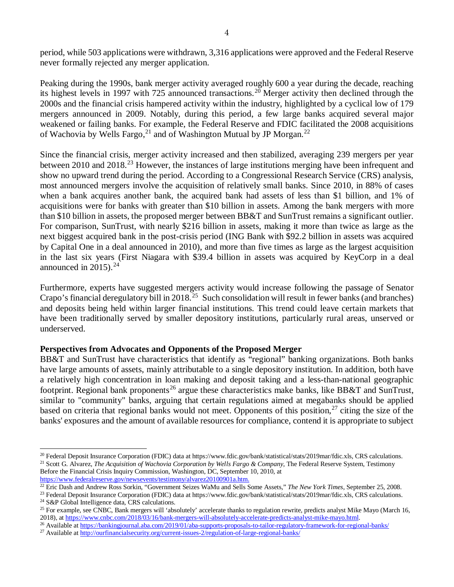period, while 503 applications were withdrawn, 3,316 applications were approved and the Federal Reserve never formally rejected any merger application.

Peaking during the 1990s, bank merger activity averaged roughly 600 a year during the decade, reaching its highest levels in 1997 with 725 announced transactions.<sup>[20](#page-3-0)</sup> Merger activity then declined through the 2000s and the financial crisis hampered activity within the industry, highlighted by a cyclical low of 179 mergers announced in 2009. Notably, during this period, a few large banks acquired several major weakened or failing banks. For example, the Federal Reserve and FDIC facilitated the 2008 acquisitions of Wachovia by Wells Fargo,  $21$  and of Washington Mutual by JP Morgan.  $22$ 

Since the financial crisis, merger activity increased and then stabilized, averaging 239 mergers per year between 2010 and 2018<sup>[23](#page-3-3)</sup> However, the instances of large institutions merging have been infrequent and show no upward trend during the period. According to a Congressional Research Service (CRS) analysis, most announced mergers involve the acquisition of relatively small banks. Since 2010, in 88% of cases when a bank acquires another bank, the acquired bank had assets of less than \$1 billion, and 1% of acquisitions were for banks with greater than \$10 billion in assets. Among the bank mergers with more than \$10 billion in assets, the proposed merger between BB&T and SunTrust remains a significant outlier. For comparison, SunTrust, with nearly \$216 billion in assets, making it more than twice as large as the next biggest acquired bank in the post-crisis period (ING Bank with \$92.2 billion in assets was acquired by Capital One in a deal announced in 2010), and more than five times as large as the largest acquisition in the last six years (First Niagara with \$39.4 billion in assets was acquired by KeyCorp in a deal announced in 2015). $24$ 

Furthermore, experts have suggested mergers activity would increase following the passage of Senator Crapo's financial deregulatory bill in 2018.<sup>[25](#page-3-5)</sup> Such consolidation will result in fewer banks (and branches) and deposits being held within larger financial institutions. This trend could leave certain markets that have been traditionally served by smaller depository institutions, particularly rural areas, unserved or underserved.

## **Perspectives from Advocates and Opponents of the Proposed Merger**

BB&T and SunTrust have characteristics that identify as "regional" banking organizations. Both banks have large amounts of assets, mainly attributable to a single depository institution. In addition, both have a relatively high concentration in loan making and deposit taking and a less-than-national geographic footprint. Regional bank proponents<sup>[26](#page-3-6)</sup> argue these characteristics make banks, like BB&T and SunTrust, similar to "community" banks, arguing that certain regulations aimed at megabanks should be applied based on criteria that regional banks would not meet. Opponents of this position,  $27$  citing the size of the banks' exposures and the amount of available resources for compliance, contend it is appropriate to subject

<span id="page-3-1"></span><span id="page-3-0"></span><sup>20</sup> Federal Deposit Insurance Corporation (FDIC) data a[t https://www.fdic.gov/bank/statistical/stats/2019mar/fdic.xls, C](https://www.fdic.gov/bank/statistical/stats/2019mar/fdic.xls)RS calculations. <sup>21</sup> Scott G. Alvarez, *The Acquisition of Wachovia Corporation by Wells Fargo & Company*[, The Federal Reserve System, Testimony](https://www.federalreserve.gov/newsevents/testimony/alvarez20100901a.htm.)  Before the Financial Crisis Inquiry Commission, Washington, DC, September 10, 2010, at <https://www.federalreserve.gov/newsevents/testimony/alvarez20100901a.htm.>

<span id="page-3-2"></span><sup>22</sup> Eric Dash and Andrew Ross Sorkin, "Government Seizes WaMu and Sells Some Assets," *The New York Times*, September 25, 2008.

<span id="page-3-4"></span><span id="page-3-3"></span><sup>&</sup>lt;sup>23</sup> Federal Deposit Insurance Corporation (FDIC) data a[t https://www.fdic.gov/bank/statistical/stats/2019mar/fdic.xls, C](https://www.fdic.gov/bank/statistical/stats/2019mar/fdic.xls)RS calculations. <sup>24</sup> S&P Global Intelligence data, CRS calculations.

<span id="page-3-5"></span><sup>&</sup>lt;sup>25</sup> For example, see CNBC, Bank mergers will 'absolutely' accelerate thanks to regulation rewrite, predicts analyst Mike Mayo (March 16, 2018), at https://www.cnbc.com/2018/03/16/bank-mergers-will-absolutely-accelerate-pr

<span id="page-3-6"></span><sup>&</sup>lt;sup>26</sup> Available at<https://bankingjournal.aba.com/2019/01/aba-supports-proposals-to-tailor-regulatory-framework-for-regional-banks/>

<span id="page-3-7"></span><sup>&</sup>lt;sup>27</sup> Available at<http://ourfinancialsecurity.org/current-issues-2/regulation-of-large-regional-banks/>